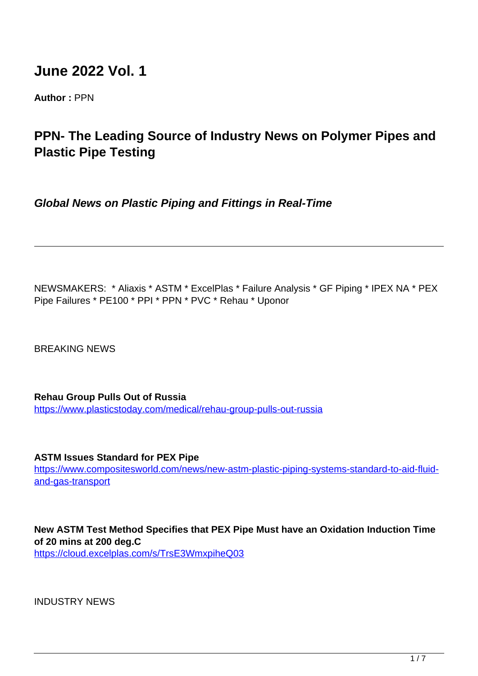# **June 2022 Vol. 1**

**Author :** PPN

# **PPN- The Leading Source of Industry News on Polymer Pipes and Plastic Pipe Testing**

**Global News on Plastic Piping and Fittings in Real-Time**

NEWSMAKERS: \* Aliaxis \* ASTM \* ExcelPlas \* Failure Analysis \* GF Piping \* IPEX NA \* PEX Pipe Failures \* PE100 \* PPI \* PPN \* PVC \* Rehau \* Uponor

BREAKING NEWS

**Rehau Group Pulls Out of Russia** <https://www.plasticstoday.com/medical/rehau-group-pulls-out-russia>

**ASTM Issues Standard for PEX Pipe**

https://www.compositesworld.com/news/new-astm-plastic-piping-systems-standard-to-aid-fluidand-gas-transport

**New ASTM Test Method Specifies that PEX Pipe Must have an Oxidation Induction Time of 20 mins at 200 deg.C**

https://cloud.excelplas.com/s/TrsE3WmxpiheQ03

INDUSTRY NEWS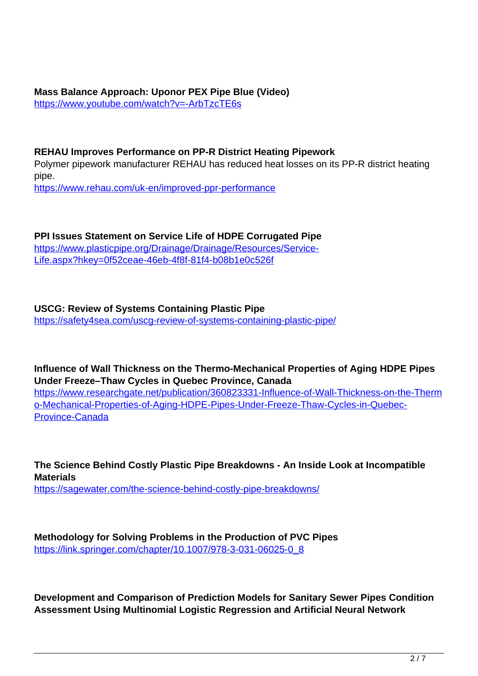**Mass Balance Approach: Uponor PEX Pipe Blue (Video)** https://www.youtube.com/watch?v=-ArbTzcTE6s

#### **REHAU Improves Performance on PP-R District Heating Pipework**

Polymer pipework manufacturer REHAU has reduced heat losses on its PP-R district heating pipe.

https://www.rehau.com/uk-en/improved-ppr-performance

**PPI Issues Statement on Service Life of HDPE Corrugated Pipe** https://www.plasticpipe.org/Drainage/Drainage/Resources/Service-Life.aspx?hkey=0f52ceae-46eb-4f8f-81f4-b08b1e0c526f

**USCG: Review of Systems Containing Plastic Pipe** https://safety4sea.com/uscg-review-of-systems-containing-plastic-pipe/

**Influence of Wall Thickness on the Thermo-Mechanical Properties of Aging HDPE Pipes Under Freeze–Thaw Cycles in Quebec Province, Canada**

https://www.researchgate.net/publication/360823331-Influence-of-Wall-Thickness-on-the-Therm o-Mechanical-Properties-of-Aging-HDPE-Pipes-Under-Freeze-Thaw-Cycles-in-Quebec-Province-Canada

**The Science Behind Costly Plastic Pipe Breakdowns - An Inside Look at Incompatible Materials** https://sagewater.com/the-science-behind-costly-pipe-breakdowns/

**Methodology for Solving Problems in the Production of PVC Pipes** https://link.springer.com/chapter/10.1007/978-3-031-06025-0\_8

**Development and Comparison of Prediction Models for Sanitary Sewer Pipes Condition Assessment Using Multinomial Logistic Regression and Artificial Neural Network**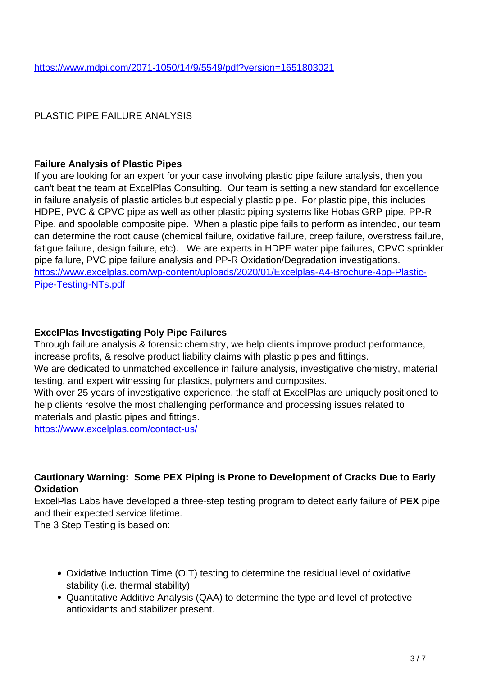## PLASTIC PIPE FAILURE ANALYSIS

### **Failure Analysis of Plastic Pipes**

If you are looking for an expert for your case involving plastic pipe failure analysis, then you can't beat the team at ExcelPlas Consulting. Our team is setting a new standard for excellence in failure analysis of plastic articles but especially plastic pipe. For plastic pipe, this includes HDPE, PVC & CPVC pipe as well as other plastic piping systems like Hobas GRP pipe, PP-R Pipe, and spoolable composite pipe. When a plastic pipe fails to perform as intended, our team can determine the root cause (chemical failure, oxidative failure, creep failure, overstress failure, fatigue failure, design failure, etc). We are experts in HDPE water pipe failures, CPVC sprinkler pipe failure, PVC pipe failure analysis and PP-R Oxidation/Degradation investigations. https://www.excelplas.com/wp-content/uploads/2020/01/Excelplas-A4-Brochure-4pp-Plastic-Pipe-Testing-NTs.pdf

### **ExcelPlas Investigating Poly Pipe Failures**

Through failure analysis & forensic chemistry, we help clients improve product performance, increase profits, & resolve product liability claims with plastic pipes and fittings.

We are dedicated to unmatched excellence in failure analysis, investigative chemistry, material testing, and expert witnessing for plastics, polymers and composites.

With over 25 years of investigative experience, the staff at ExcelPlas are uniquely positioned to help clients resolve the most challenging performance and processing issues related to materials and plastic pipes and fittings.

https://www.excelplas.com/contact-us/

### **Cautionary Warning: Some PEX Piping is Prone to Development of Cracks Due to Early Oxidation**

ExcelPlas Labs have developed a three-step testing program to detect early failure of **PEX** pipe and their expected service lifetime.

The 3 Step Testing is based on:

- Oxidative Induction Time (OIT) testing to determine the residual level of oxidative stability (i.e. thermal stability)
- Quantitative Additive Analysis (QAA) to determine the type and level of protective antioxidants and stabilizer present.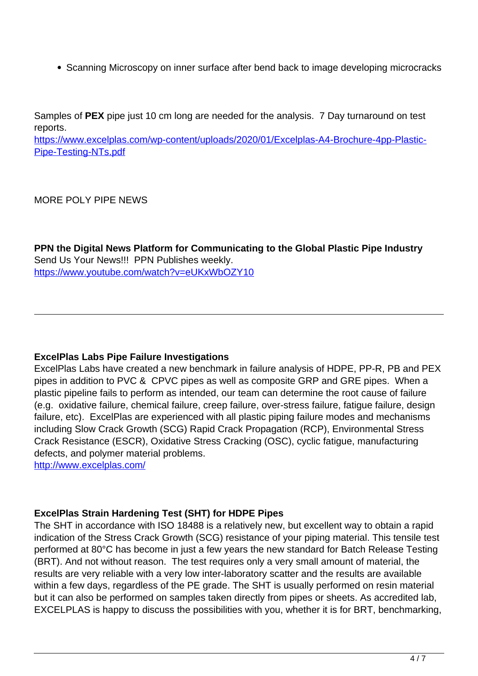• Scanning Microscopy on inner surface after bend back to image developing microcracks

Samples of **PEX** pipe just 10 cm long are needed for the analysis. 7 Day turnaround on test reports.

https://www.excelplas.com/wp-content/uploads/2020/01/Excelplas-A4-Brochure-4pp-Plastic-Pipe-Testing-NTs.pdf

MORE POLY PIPE NEWS

**PPN the Digital News Platform for Communicating to the Global Plastic Pipe Industry** Send Us Your News!!! PPN Publishes weekly. https://www.youtube.com/watch?v=eUKxWbOZY10

### **ExcelPlas Labs Pipe Failure Investigations**

ExcelPlas Labs have created a new benchmark in failure analysis of HDPE, PP-R, PB and PEX pipes in addition to PVC & CPVC pipes as well as composite GRP and GRE pipes. When a plastic pipeline fails to perform as intended, our team can determine the root cause of failure (e.g. oxidative failure, chemical failure, creep failure, over-stress failure, fatigue failure, design failure, etc). ExcelPlas are experienced with all plastic piping failure modes and mechanisms including Slow Crack Growth (SCG) Rapid Crack Propagation (RCP), Environmental Stress Crack Resistance (ESCR), Oxidative Stress Cracking (OSC), cyclic fatigue, manufacturing defects, and polymer material problems.

http://www.excelplas.com/

# **ExcelPlas Strain Hardening Test (SHT) for HDPE Pipes**

The SHT in accordance with ISO 18488 is a relatively new, but excellent way to obtain a rapid indication of the Stress Crack Growth (SCG) resistance of your piping material. This tensile test performed at 80°C has become in just a few years the new standard for Batch Release Testing (BRT). And not without reason. The test requires only a very small amount of material, the results are very reliable with a very low inter-laboratory scatter and the results are available within a few days, regardless of the PE grade. The SHT is usually performed on resin material but it can also be performed on samples taken directly from pipes or sheets. As accredited lab, EXCELPLAS is happy to discuss the possibilities with you, whether it is for BRT, benchmarking,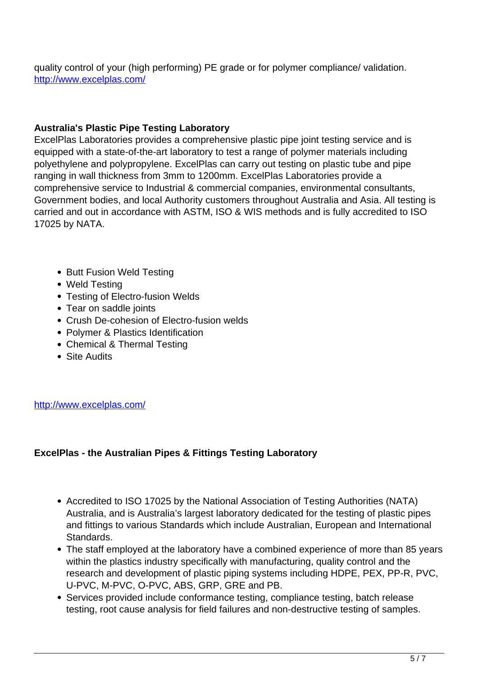quality control of your (high performing) PE grade or for polymer compliance/ validation. http://www.excelplas.com/

### **Australia's Plastic Pipe Testing Laboratory**

ExcelPlas Laboratories provides a comprehensive plastic pipe joint testing service and is equipped with a state-of-the-art laboratory to test a range of polymer materials including polyethylene and polypropylene. ExcelPlas can carry out testing on plastic tube and pipe ranging in wall thickness from 3mm to 1200mm. ExcelPlas Laboratories provide a comprehensive service to Industrial & commercial companies, environmental consultants, Government bodies, and local Authority customers throughout Australia and Asia. All testing is carried and out in accordance with ASTM, ISO & WIS methods and is fully accredited to ISO 17025 by NATA.

- Butt Fusion Weld Testing
- Weld Testing
- Testing of Electro-fusion Welds
- Tear on saddle joints
- Crush De-cohesion of Electro-fusion welds
- Polymer & Plastics Identification
- Chemical & Thermal Testing
- Site Audits

http://www.excelplas.com/

# **ExcelPlas - the Australian Pipes & Fittings Testing Laboratory**

- Accredited to ISO 17025 by the National Association of Testing Authorities (NATA) Australia, and is Australia's largest laboratory dedicated for the testing of plastic pipes and fittings to various Standards which include Australian, European and International Standards.
- The staff employed at the laboratory have a combined experience of more than 85 years within the plastics industry specifically with manufacturing, quality control and the research and development of plastic piping systems including HDPE, PEX, PP-R, PVC, U-PVC, M-PVC, O-PVC, ABS, GRP, GRE and PB.
- Services provided include conformance testing, compliance testing, batch release testing, root cause analysis for field failures and non-destructive testing of samples.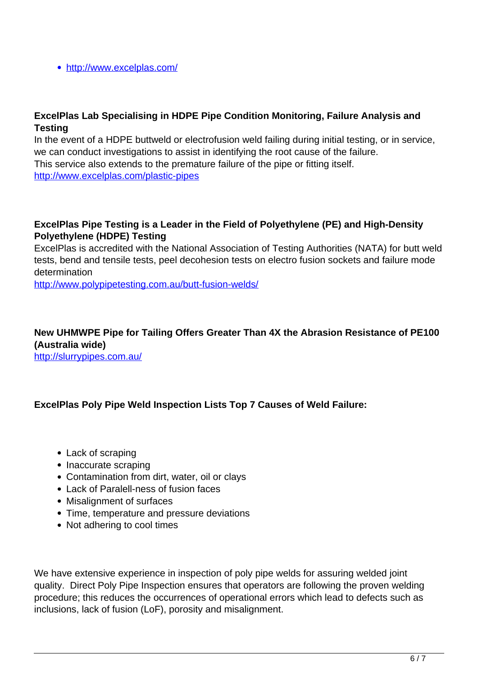http://www.excelplas.com/

### **ExcelPlas Lab Specialising in HDPE Pipe Condition Monitoring, Failure Analysis and Testing**

In the event of a HDPE buttweld or electrofusion weld failing during initial testing, or in service, we can conduct investigations to assist in identifying the root cause of the failure.

This service also extends to the premature failure of the pipe or fitting itself. http://www.excelplas.com/plastic-pipes

### **ExcelPlas Pipe Testing is a Leader in the Field of Polyethylene (PE) and High-Density Polyethylene (HDPE) Testing**

ExcelPlas is accredited with the National Association of Testing Authorities (NATA) for butt weld tests, bend and tensile tests, peel decohesion tests on electro fusion sockets and failure mode determination

http://www.polypipetesting.com.au/butt-fusion-welds/

# **New UHMWPE Pipe for Tailing Offers Greater Than 4X the Abrasion Resistance of PE100 (Australia wide)**

http://slurrypipes.com.au/

# **ExcelPlas Poly Pipe Weld Inspection Lists Top 7 Causes of Weld Failure:**

- Lack of scraping
- Inaccurate scraping
- Contamination from dirt, water, oil or clays
- Lack of Paralell-ness of fusion faces
- Misalignment of surfaces
- Time, temperature and pressure deviations
- Not adhering to cool times

We have extensive experience in inspection of poly pipe welds for assuring welded joint quality. Direct Poly Pipe Inspection ensures that operators are following the proven welding procedure; this reduces the occurrences of operational errors which lead to defects such as inclusions, lack of fusion (LoF), porosity and misalignment.